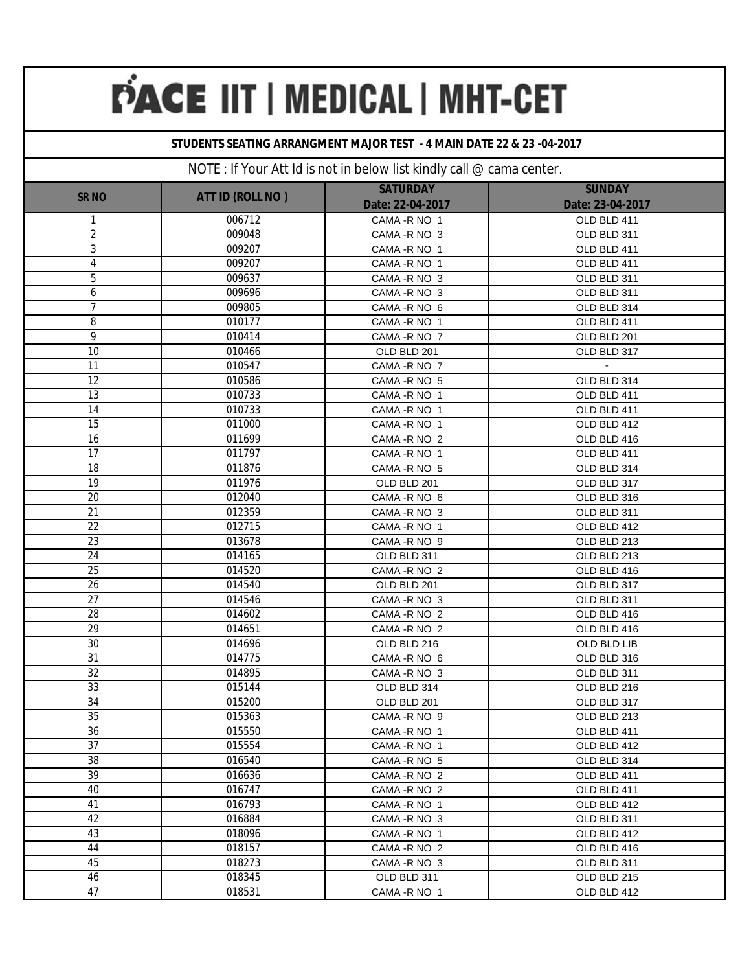### **STUDENTS SEATING ARRANGMENT MAJOR TEST - 4 MAIN DATE 22 & 23 -04-2017**

|                 |                  | <b>SATURDAY</b>  | <b>SUNDAY</b>    |
|-----------------|------------------|------------------|------------------|
| <b>SRNO</b>     | ATT ID (ROLL NO) | Date: 22-04-2017 | Date: 23-04-2017 |
| 1               | 006712           | CAMA - R NO 1    | OLD BLD 411      |
| $\overline{2}$  | 009048           | CAMA - R NO 3    | OLD BLD 311      |
| 3               | 009207           | CAMA-R NO 1      | OLD BLD 411      |
| 4               | 009207           | CAMA - R NO 1    | OLD BLD 411      |
| 5               | 009637           | CAMA - R NO 3    | OLD BLD 311      |
| 6               | 009696           | CAMA - R NO 3    | OLD BLD 311      |
| 7               | 009805           | CAMA - R NO 6    | OLD BLD 314      |
| 8               | 010177           | CAMA-R NO 1      | OLD BLD 411      |
| 9               | 010414           | CAMA - R NO 7    | OLD BLD 201      |
| 10              | 010466           | OLD BLD 201      | OLD BLD 317      |
| 11              | 010547           | CAMA - R NO 7    |                  |
| 12              | 010586           | CAMA - R NO 5    | OLD BLD 314      |
| $\overline{13}$ | 010733           | CAMA-R NO 1      | OLD BLD 411      |
| 14              | 010733           | CAMA-R NO 1      | OLD BLD 411      |
| $\overline{15}$ | 011000           | CAMA-R NO 1      | OLD BLD 412      |
| 16              | 011699           | CAMA - R NO 2    | OLD BLD 416      |
| $\overline{17}$ | 011797           | CAMA-R NO 1      | OLD BLD 411      |
| 18              | 011876           | CAMA - R NO 5    | OLD BLD 314      |
| $\overline{19}$ | 011976           | OLD BLD 201      | OLD BLD 317      |
| 20              | 012040           | CAMA - R NO 6    | OLD BLD 316      |
| 21              | 012359           | CAMA - R NO 3    | OLD BLD 311      |
| 22              | 012715           | CAMA-R NO 1      | OLD BLD 412      |
| $\overline{23}$ | 013678           | CAMA - R NO 9    | OLD BLD 213      |
| 24              | 014165           | OLD BLD 311      | OLD BLD 213      |
| 25              | 014520           | CAMA - R NO 2    | OLD BLD 416      |
| 26              | 014540           | OLD BLD 201      | OLD BLD 317      |
| $\overline{27}$ | 014546           | CAMA - R NO 3    | OLD BLD 311      |
| 28              | 014602           | CAMA - R NO 2    | OLD BLD 416      |
| $\overline{29}$ | 014651           | CAMA - R NO 2    | OLD BLD 416      |
| 30              | 014696           | OLD BLD 216      | OLD BLD LIB      |
| 31              | 014775           | CAMA -R NO 6     | OLD BLD 316      |
| 32              | 014895           | CAMA - R NO 3    | OLD BLD 311      |
| 33              | 015144           | OLD BLD 314      | OLD BLD 216      |
| 34              | 015200           | OLD BLD 201      | OLD BLD 317      |
| 35              | 015363           | CAMA - R NO 9    | OLD BLD 213      |
| 36              | 015550           | CAMA - R NO 1    | OLD BLD 411      |
| 37              | 015554           | CAMA - R NO 1    | OLD BLD 412      |
| 38              | 016540           | CAMA - R NO 5    | OLD BLD 314      |
| 39              | 016636           | CAMA - R NO 2    | OLD BLD 411      |
| 40              | 016747           | CAMA - R NO 2    | OLD BLD 411      |
| 41              | 016793           | CAMA - RNO 1     | OLD BLD 412      |
| 42              | 016884           | CAMA - R NO 3    | OLD BLD 311      |
| 43              | 018096           | CAMA - R NO 1    | OLD BLD 412      |
| 44              | 018157           | CAMA - R NO 2    | OLD BLD 416      |
| 45              | 018273           | CAMA - R NO 3    | OLD BLD 311      |
| 46              | 018345           | OLD BLD 311      | OLD BLD 215      |
| 47              | 018531           | CAMA - R NO 1    | OLD BLD 412      |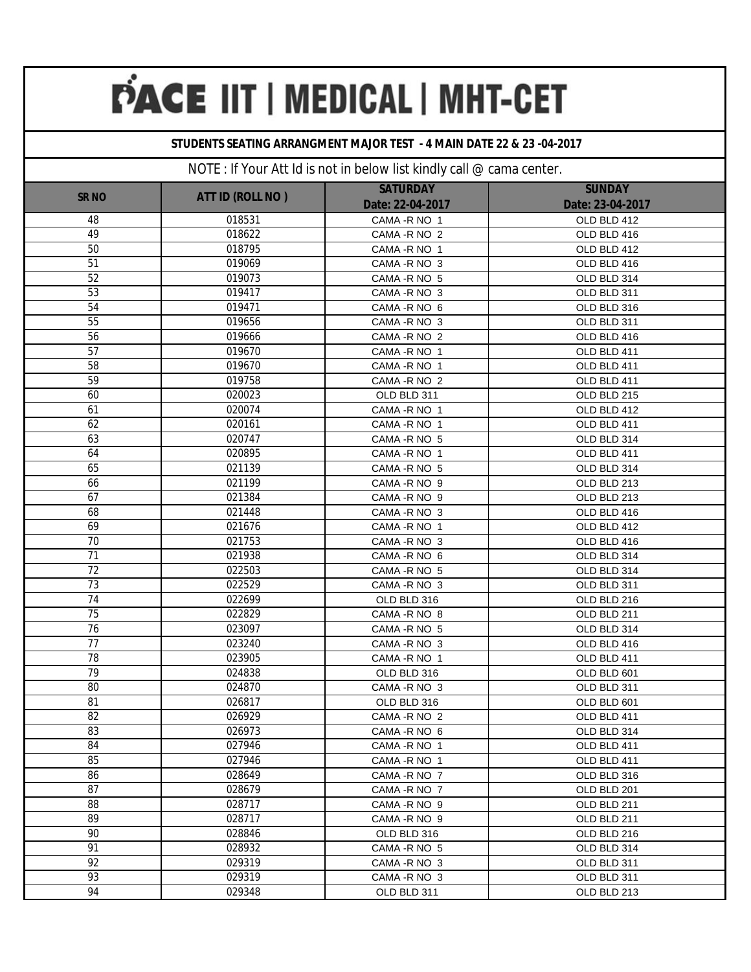#### **STUDENTS SEATING ARRANGMENT MAJOR TEST - 4 MAIN DATE 22 & 23 -04-2017**

| <b>SRNO</b> | ATT ID (ROLL NO) | <b>SATURDAY</b><br>Date: 22-04-2017 | <b>SUNDAY</b><br>Date: 23-04-2017 |
|-------------|------------------|-------------------------------------|-----------------------------------|
| 48          | 018531           | CAMA - R NO 1                       | OLD BLD 412                       |
| 49          | 018622           | CAMA - R NO 2                       | OLD BLD 416                       |
| 50          | 018795           | CAMA - R NO 1                       | OLD BLD 412                       |
| 51          | 019069           | CAMA - R NO 3                       | OLD BLD 416                       |
| 52          | 019073           | CAMA - R NO 5                       | OLD BLD 314                       |
| 53          | 019417           | CAMA - R NO 3                       | OLD BLD 311                       |
| 54          | 019471           | CAMA - R NO 6                       | OLD BLD 316                       |
| 55          | 019656           | CAMA - R NO 3                       | OLD BLD 311                       |
| 56          | 019666           | CAMA - R NO 2                       | OLD BLD 416                       |
| 57          | 019670           | CAMA - R NO 1                       | OLD BLD 411                       |
| 58          | 019670           | CAMA - R NO 1                       | OLD BLD 411                       |
| 59          | 019758           | CAMA - R NO 2                       | OLD BLD 411                       |
| 60          | 020023           | OLD BLD 311                         | OLD BLD 215                       |
| 61          | 020074           | CAMA-R NO 1                         | OLD BLD 412                       |
| 62          | 020161           | CAMA - R NO 1                       | OLD BLD 411                       |
| 63          | 020747           | CAMA - R NO 5                       | OLD BLD 314                       |
| 64          | 020895           | CAMA - R NO 1                       | OLD BLD 411                       |
| 65          | 021139           | CAMA - R NO 5                       | OLD BLD 314                       |
| 66          | 021199           | CAMA -R NO 9                        | OLD BLD 213                       |
| 67          | 021384           | CAMA -R NO 9                        | OLD BLD 213                       |
| 68          | 021448           | CAMA - R NO 3                       | OLD BLD 416                       |
| 69          | 021676           | CAMA - R NO 1                       | OLD BLD 412                       |
| 70          | 021753           | CAMA - R NO 3                       | OLD BLD 416                       |
| 71          | 021938           | CAMA - R NO 6                       | OLD BLD 314                       |
| 72          | 022503           | CAMA - R NO 5                       | OLD BLD 314                       |
| 73          | 022529           | CAMA - R NO 3                       | OLD BLD 311                       |
| 74          | 022699           | OLD BLD 316                         | OLD BLD 216                       |
| 75          | 022829           | CAMA - R NO 8                       | OLD BLD 211                       |
| 76          | 023097           | CAMA - R NO 5                       | OLD BLD 314                       |
| 77          | 023240           | CAMA - R NO 3                       | OLD BLD 416                       |
| 78          | 023905           | CAMA - R NO 1                       | OLD BLD 411                       |
| 79          | 024838           | OLD BLD 316                         | OLD BLD 601                       |
| 80          | 024870           | CAMA - R NO 3                       | OLD BLD 311                       |
| 81          | 026817           | OLD BLD 316                         | OLD BLD 601                       |
| 82          | 026929           | CAMA - R NO 2                       | OLD BLD 411                       |
| 83          | 026973           | CAMA -R NO 6                        | OLD BLD 314                       |
| 84          | 027946           | CAMA - R NO 1                       | OLD BLD 411                       |
| 85          | 027946           | CAMA - R NO 1                       | OLD BLD 411                       |
| 86          | 028649           | CAMA - R NO 7                       | OLD BLD 316                       |
| 87          | 028679           | CAMA - R NO 7                       | OLD BLD 201                       |
| 88          | 028717           | CAMA - R NO 9                       | OLD BLD 211                       |
| 89          | 028717           | CAMA - R NO 9                       | OLD BLD 211                       |
| 90          | 028846           | OLD BLD 316                         | OLD BLD 216                       |
| 91          | 028932           | CAMA - R NO 5                       | OLD BLD 314                       |
| 92          | 029319           | CAMA - R NO 3                       | OLD BLD 311                       |
| 93          | 029319           | CAMA - R NO 3                       | OLD BLD 311                       |
| 94          | 029348           | OLD BLD 311                         | OLD BLD 213                       |
|             |                  |                                     |                                   |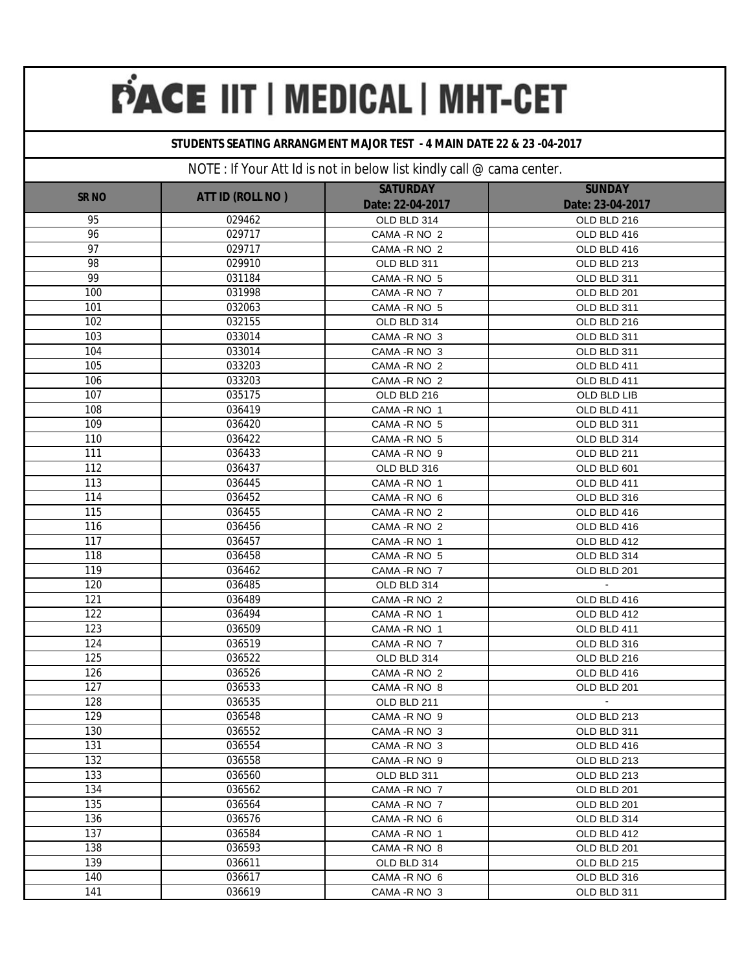### **STUDENTS SEATING ARRANGMENT MAJOR TEST - 4 MAIN DATE 22 & 23 -04-2017**

|             |                  | <b>SATURDAY</b>  | <b>SUNDAY</b>    |
|-------------|------------------|------------------|------------------|
| <b>SRNO</b> | ATT ID (ROLL NO) | Date: 22-04-2017 | Date: 23-04-2017 |
| 95          | 029462           | OLD BLD 314      | OLD BLD 216      |
| 96          | 029717           | CAMA - R NO 2    | OLD BLD 416      |
| 97          | 029717           | CAMA - R NO 2    | OLD BLD 416      |
| 98          | 029910           | OLD BLD 311      | OLD BLD 213      |
| 99          | 031184           | CAMA - R NO 5    | OLD BLD 311      |
| 100         | 031998           | CAMA - R NO 7    | OLD BLD 201      |
| 101         | 032063           | CAMA - R NO 5    | OLD BLD 311      |
| 102         | 032155           | OLD BLD 314      | OLD BLD 216      |
| 103         | 033014           | CAMA - R NO 3    | OLD BLD 311      |
| 104         | 033014           | CAMA - R NO 3    | OLD BLD 311      |
| 105         | 033203           | CAMA - R NO 2    | OLD BLD 411      |
| 106         | 033203           | CAMA - R NO 2    | OLD BLD 411      |
| 107         | 035175           | OLD BLD 216      | OLD BLD LIB      |
| 108         | 036419           | CAMA - R NO 1    | OLD BLD 411      |
| 109         | 036420           | CAMA - R NO 5    | OLD BLD 311      |
| 110         | 036422           | CAMA - R NO 5    | OLD BLD 314      |
| 111         | 036433           | CAMA - R NO 9    | OLD BLD 211      |
| 112         | 036437           | OLD BLD 316      | OLD BLD 601      |
| 113         | 036445           | CAMA - R NO 1    | OLD BLD 411      |
| 114         | 036452           | CAMA - R NO 6    | OLD BLD 316      |
| 115         | 036455           | CAMA - R NO 2    | OLD BLD 416      |
| 116         | 036456           | CAMA - R NO 2    | OLD BLD 416      |
| 117         | 036457           | CAMA - R NO 1    | OLD BLD 412      |
| 118         | 036458           | CAMA - R NO 5    | OLD BLD 314      |
| 119         | 036462           | CAMA - R NO 7    | OLD BLD 201      |
| 120         | 036485           | OLD BLD 314      |                  |
| 121         | 036489           | CAMA - R NO 2    | OLD BLD 416      |
| 122         | 036494           | CAMA - R NO 1    | OLD BLD 412      |
| 123         | 036509           | CAMA - R NO 1    | OLD BLD 411      |
| 124         | 036519           | CAMA - R NO 7    | OLD BLD 316      |
| 125         | 036522           | OLD BLD 314      | OLD BLD 216      |
| 126         | 036526           | CAMA - R NO 2    | OLD BLD 416      |
| 127         | 036533           | CAMA - R NO 8    | OLD BLD 201      |
| 128         | 036535           | OLD BLD 211      | $\sim$           |
| 129         | 036548           | CAMA - R NO 9    | OLD BLD 213      |
| 130         | 036552           | CAMA - R NO 3    | OLD BLD 311      |
| 131         | 036554           | CAMA - R NO 3    | OLD BLD 416      |
| 132         | 036558           | CAMA - R NO 9    | OLD BLD 213      |
| 133         | 036560           | OLD BLD 311      | OLD BLD 213      |
| 134         | 036562           | CAMA - R NO 7    | OLD BLD 201      |
| 135         | 036564           | CAMA - R NO 7    | OLD BLD 201      |
| 136         | 036576           | CAMA - R NO 6    | OLD BLD 314      |
| 137         | 036584           | CAMA - RNO 1     | OLD BLD 412      |
| 138         | 036593           | CAMA - R NO 8    | OLD BLD 201      |
| 139         | 036611           | OLD BLD 314      | OLD BLD 215      |
| 140         | 036617           | CAMA - R NO 6    | OLD BLD 316      |
| 141         | 036619           | CAMA - R NO 3    | OLD BLD 311      |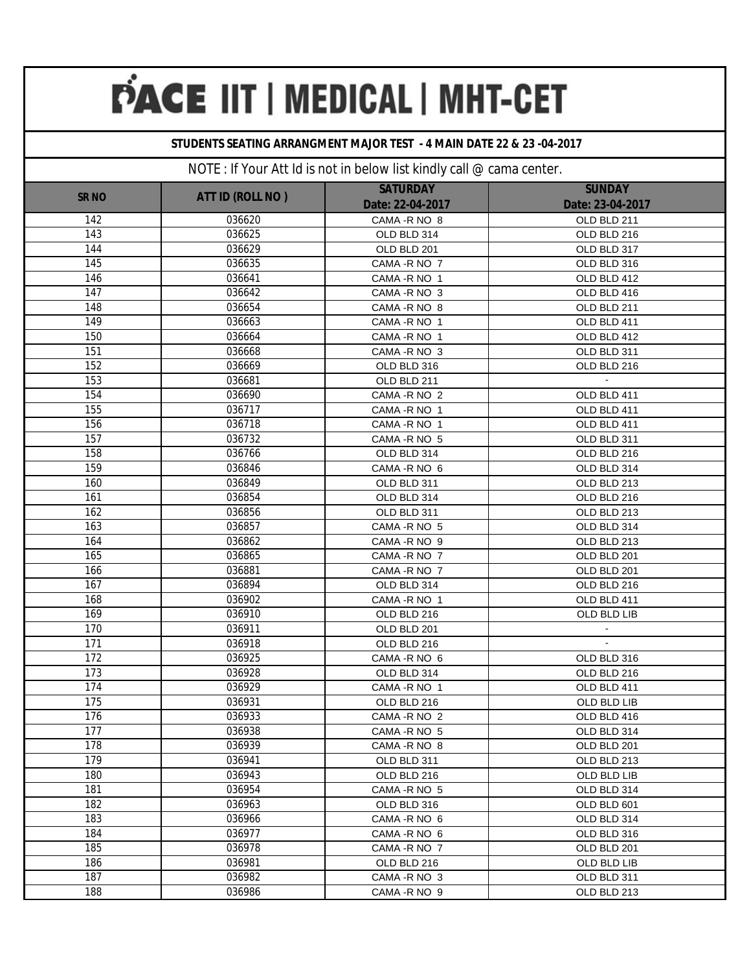### **STUDENTS SEATING ARRANGMENT MAJOR TEST - 4 MAIN DATE 22 & 23 -04-2017**

|              |                  | <b>SATURDAY</b>  | <b>SUNDAY</b>    |
|--------------|------------------|------------------|------------------|
| <b>SR NO</b> | ATT ID (ROLL NO) | Date: 22-04-2017 | Date: 23-04-2017 |
| 142          | 036620           | CAMA - R NO 8    | OLD BLD 211      |
| 143          | 036625           | OLD BLD 314      | OLD BLD 216      |
| 144          | 036629           | OLD BLD 201      | OLD BLD 317      |
| 145          | 036635           | CAMA - R NO 7    | OLD BLD 316      |
| 146          | 036641           | CAMA - R NO 1    | OLD BLD 412      |
| 147          | 036642           | CAMA - R NO 3    | OLD BLD 416      |
| 148          | 036654           | CAMA - R NO 8    | OLD BLD 211      |
| 149          | 036663           | CAMA - R NO 1    | OLD BLD 411      |
| 150          | 036664           | CAMA - R NO 1    | OLD BLD 412      |
| 151          | 036668           | CAMA - R NO 3    | OLD BLD 311      |
| 152          | 036669           | OLD BLD 316      | OLD BLD 216      |
| 153          | 036681           | OLD BLD 211      |                  |
| 154          | 036690           | CAMA - R NO 2    | OLD BLD 411      |
| 155          | 036717           | CAMA - R NO 1    | OLD BLD 411      |
| 156          | 036718           | CAMA - R NO 1    | OLD BLD 411      |
| 157          | 036732           | CAMA - R NO 5    | OLD BLD 311      |
| 158          | 036766           | OLD BLD 314      | OLD BLD 216      |
| 159          | 036846           | CAMA - R NO 6    | OLD BLD 314      |
| 160          | 036849           | OLD BLD 311      | OLD BLD 213      |
| 161          | 036854           | OLD BLD 314      | OLD BLD 216      |
| 162          | 036856           | OLD BLD 311      | OLD BLD 213      |
| 163          | 036857           | CAMA - R NO 5    | OLD BLD 314      |
| 164          | 036862           | CAMA -R NO 9     | OLD BLD 213      |
| 165          | 036865           | CAMA - R NO 7    | OLD BLD 201      |
| 166          | 036881           | CAMA - R NO 7    | OLD BLD 201      |
| 167          | 036894           | OLD BLD 314      | OLD BLD 216      |
| 168          | 036902           | CAMA - R NO 1    | OLD BLD 411      |
| 169          | 036910           | OLD BLD 216      | OLD BLD LIB      |
| 170          | 036911           | OLD BLD 201      | $\sim$           |
| 171          | 036918           | OLD BLD 216      | $\omega$         |
| 172          | 036925           | CAMA - R NO 6    | OLD BLD 316      |
| 173          | 036928           | OLD BLD 314      | OLD BLD 216      |
| 174          | 036929           | CAMA - R NO 1    | OLD BLD 411      |
| 175          | 036931           | OLD BLD 216      | OLD BLD LIB      |
| 176          | 036933           | CAMA - R NO 2    | OLD BLD 416      |
| 177          | 036938           | CAMA - R NO 5    | OLD BLD 314      |
| 178          | 036939           | CAMA - R NO 8    | OLD BLD 201      |
| 179          | 036941           | OLD BLD 311      | OLD BLD 213      |
| 180          | 036943           | OLD BLD 216      | OLD BLD LIB      |
| 181          | 036954           | CAMA - R NO 5    | OLD BLD 314      |
| 182          | 036963           | OLD BLD 316      | OLD BLD 601      |
| 183          | 036966           | CAMA - R NO 6    | OLD BLD 314      |
| 184          | 036977           | CAMA - R NO 6    | OLD BLD 316      |
| 185          | 036978           | CAMA - R NO 7    | OLD BLD 201      |
| 186          | 036981           | OLD BLD 216      | OLD BLD LIB      |
| 187          | 036982           | CAMA - R NO 3    | OLD BLD 311      |
| 188          | 036986           | CAMA - R NO 9    | OLD BLD 213      |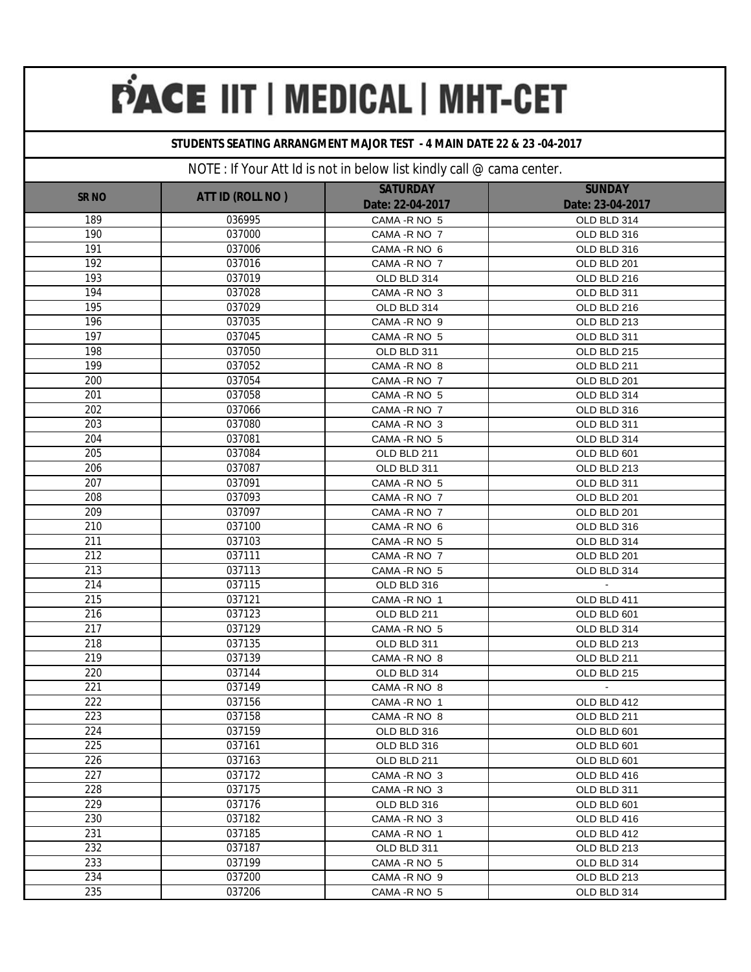#### **STUDENTS SEATING ARRANGMENT MAJOR TEST - 4 MAIN DATE 22 & 23 -04-2017**

|                  |                  | <b>SATURDAY</b>  | <b>SUNDAY</b>         |
|------------------|------------------|------------------|-----------------------|
| <b>SR NO</b>     | ATT ID (ROLL NO) | Date: 22-04-2017 | Date: 23-04-2017      |
| 189              | 036995           | CAMA - R NO 5    | OLD BLD 314           |
| 190              | 037000           | CAMA - R NO 7    | OLD BLD 316           |
| 191              | 037006           | CAMA - R NO 6    | OLD BLD 316           |
| 192              | 037016           | CAMA - R NO 7    | OLD BLD 201           |
| 193              | 037019           | OLD BLD 314      | OLD BLD 216           |
| 194              | 037028           | CAMA - R NO 3    | OLD BLD 311           |
| 195              | 037029           | OLD BLD 314      | OLD BLD 216           |
| 196              | 037035           | CAMA-R NO 9      | OLD BLD 213           |
| 197              | 037045           | CAMA - R NO 5    | OLD BLD 311           |
| 198              | 037050           | OLD BLD 311      | OLD BLD 215           |
| 199              | 037052           | CAMA - R NO 8    | OLD BLD 211           |
| 200              | 037054           | CAMA - R NO 7    | OLD BLD 201           |
| 201              | 037058           | CAMA - R NO 5    | OLD BLD 314           |
| 202              | 037066           | CAMA - R NO 7    | OLD BLD 316           |
| 203              | 037080           | CAMA - R NO 3    | OLD BLD 311           |
| 204              | 037081           | CAMA - R NO 5    | OLD BLD 314           |
| 205              | 037084           | OLD BLD 211      | OLD BLD 601           |
| 206              | 037087           | OLD BLD 311      | OLD BLD 213           |
| 207              | 037091           | CAMA - R NO 5    | OLD BLD 311           |
| 208              | 037093           | CAMA - R NO 7    | OLD BLD 201           |
| 209              | 037097           | CAMA - R NO 7    | OLD BLD 201           |
| 210              | 037100           | CAMA - R NO 6    | OLD BLD 316           |
| 211              | 037103           | CAMA - R NO 5    | OLD BLD 314           |
| 212              | 037111           | CAMA - R NO 7    | OLD BLD 201           |
| 213              | 037113           | CAMA - R NO 5    | OLD BLD 314           |
| 214              | 037115           | OLD BLD 316      | $\mathbf{a}^{\prime}$ |
| 215              | 037121           | CAMA - R NO 1    | OLD BLD 411           |
| 216              | 037123           | OLD BLD 211      | OLD BLD 601           |
| $\overline{217}$ | 037129           | CAMA - R NO 5    | OLD BLD 314           |
| 218              | 037135           | OLD BLD 311      | OLD BLD 213           |
| 219              | 037139           | CAMA - R NO 8    | OLD BLD 211           |
| 220              | 037144           | OLD BLD 314      | OLD BLD 215           |
| 221              | 037149           | CAMA - R NO 8    | $\blacksquare$        |
| 222              | 037156           | CAMA - R NO 1    | OLD BLD 412           |
| 223              | 037158           | CAMA - R NO 8    | OLD BLD 211           |
| 224              | 037159           | OLD BLD 316      | OLD BLD 601           |
| 225              | 037161           | OLD BLD 316      | OLD BLD 601           |
| 226              | 037163           | OLD BLD 211      | OLD BLD 601           |
| 227              | 037172           | CAMA - R NO 3    | OLD BLD 416           |
| 228              | 037175           | CAMA - R NO 3    | OLD BLD 311           |
| 229              | 037176           | OLD BLD 316      | OLD BLD 601           |
| 230              | 037182           | CAMA - R NO 3    | OLD BLD 416           |
| 231              | 037185           | CAMA - R NO 1    | OLD BLD 412           |
| 232              | 037187           | OLD BLD 311      | OLD BLD 213           |
| 233              | 037199           | CAMA - R NO 5    | OLD BLD 314           |
| 234              | 037200           | CAMA - R NO 9    | OLD BLD 213           |
| 235              | 037206           | CAMA - R NO 5    | OLD BLD 314           |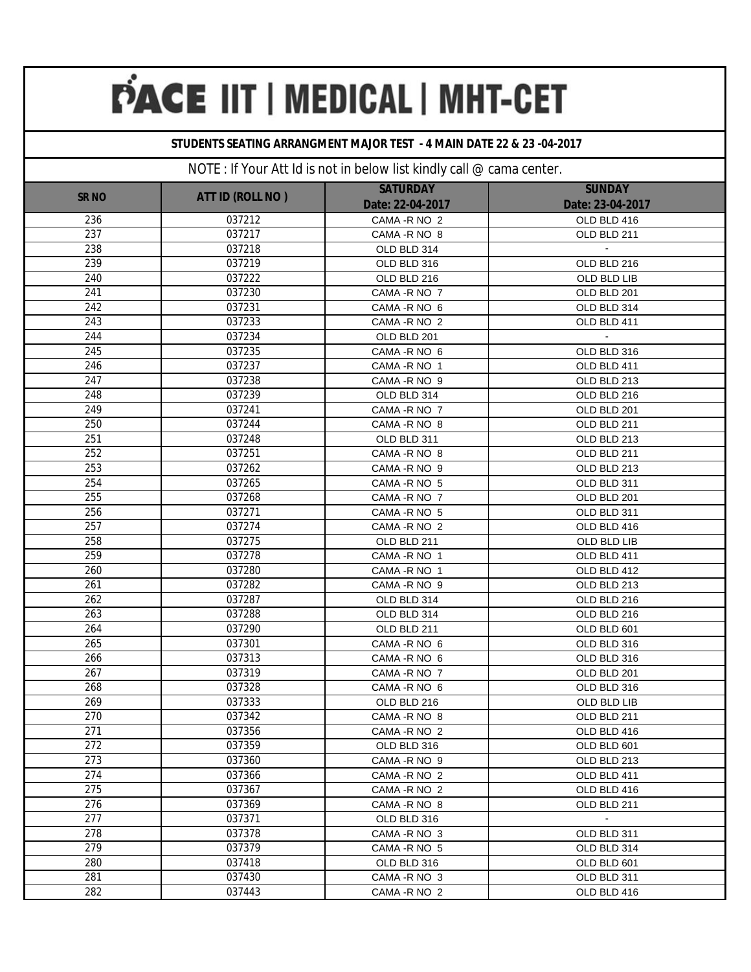### **STUDENTS SEATING ARRANGMENT MAJOR TEST - 4 MAIN DATE 22 & 23 -04-2017**

|              |                  | <b>SATURDAY</b>  | <b>SUNDAY</b>    |
|--------------|------------------|------------------|------------------|
| <b>SR NO</b> | ATT ID (ROLL NO) | Date: 22-04-2017 | Date: 23-04-2017 |
| 236          | 037212           | CAMA - R NO 2    | OLD BLD 416      |
| 237          | 037217           | CAMA - R NO 8    | OLD BLD 211      |
| 238          | 037218           | OLD BLD 314      |                  |
| 239          | 037219           | OLD BLD 316      | OLD BLD 216      |
| 240          | 037222           | OLD BLD 216      | OLD BLD LIB      |
| 241          | 037230           | CAMA - R NO 7    | OLD BLD 201      |
| 242          | 037231           | CAMA - R NO 6    | OLD BLD 314      |
| 243          | 037233           | CAMA - R NO 2    | OLD BLD 411      |
| 244          | 037234           | OLD BLD 201      |                  |
| 245          | 037235           | CAMA -R NO 6     | OLD BLD 316      |
| 246          | 037237           | CAMA - R NO 1    | OLD BLD 411      |
| 247          | 037238           | CAMA - R NO 9    | OLD BLD 213      |
| 248          | 037239           | OLD BLD 314      | OLD BLD 216      |
| 249          | 037241           | CAMA - R NO 7    | OLD BLD 201      |
| 250          | 037244           | CAMA - R NO 8    | OLD BLD 211      |
| 251          | 037248           | OLD BLD 311      | OLD BLD 213      |
| 252          | 037251           | CAMA - R NO 8    | OLD BLD 211      |
| 253          | 037262           | CAMA -R NO 9     | OLD BLD 213      |
| 254          | 037265           | CAMA - R NO 5    | OLD BLD 311      |
| 255          | 037268           | CAMA - R NO 7    | OLD BLD 201      |
| 256          | 037271           | CAMA - R NO 5    | OLD BLD 311      |
| 257          | 037274           | CAMA - R NO 2    | OLD BLD 416      |
| 258          | 037275           | OLD BLD 211      | OLD BLD LIB      |
| 259          | 037278           | CAMA - R NO 1    | OLD BLD 411      |
| 260          | 037280           | CAMA - R NO 1    | OLD BLD 412      |
| 261          | 037282           | CAMA - R NO 9    | OLD BLD 213      |
| 262          | 037287           | OLD BLD 314      | OLD BLD 216      |
| 263          | 037288           | OLD BLD 314      | OLD BLD 216      |
| 264          | 037290           | OLD BLD 211      | OLD BLD 601      |
| 265          | 037301           | CAMA - R NO 6    | OLD BLD 316      |
| 266          | 037313           | CAMA - R NO 6    | OLD BLD 316      |
| 267          | 037319           | CAMA - R NO 7    | OLD BLD 201      |
| 268          | 037328           | CAMA - R NO 6    | OLD BLD 316      |
| 269          | 037333           | OLD BLD 216      | OLD BLD LIB      |
| 270          | 037342           | CAMA - R NO 8    | OLD BLD 211      |
| 271          | 037356           | CAMA - R NO 2    | OLD BLD 416      |
| 272          | 037359           | OLD BLD 316      | OLD BLD 601      |
| 273          | 037360           | CAMA - R NO 9    | OLD BLD 213      |
| 274          | 037366           | CAMA - R NO 2    | OLD BLD 411      |
| 275          | 037367           | CAMA - R NO 2    | OLD BLD 416      |
| 276          | 037369           | CAMA - R NO 8    | OLD BLD 211      |
| 277          | 037371           | OLD BLD 316      | $\blacksquare$   |
| 278          | 037378           | CAMA - R NO 3    | OLD BLD 311      |
| 279          | 037379           | CAMA - R NO 5    | OLD BLD 314      |
| 280          | 037418           | OLD BLD 316      | OLD BLD 601      |
| 281          | 037430           | CAMA - R NO 3    | OLD BLD 311      |
| 282          | 037443           | CAMA - R NO 2    | OLD BLD 416      |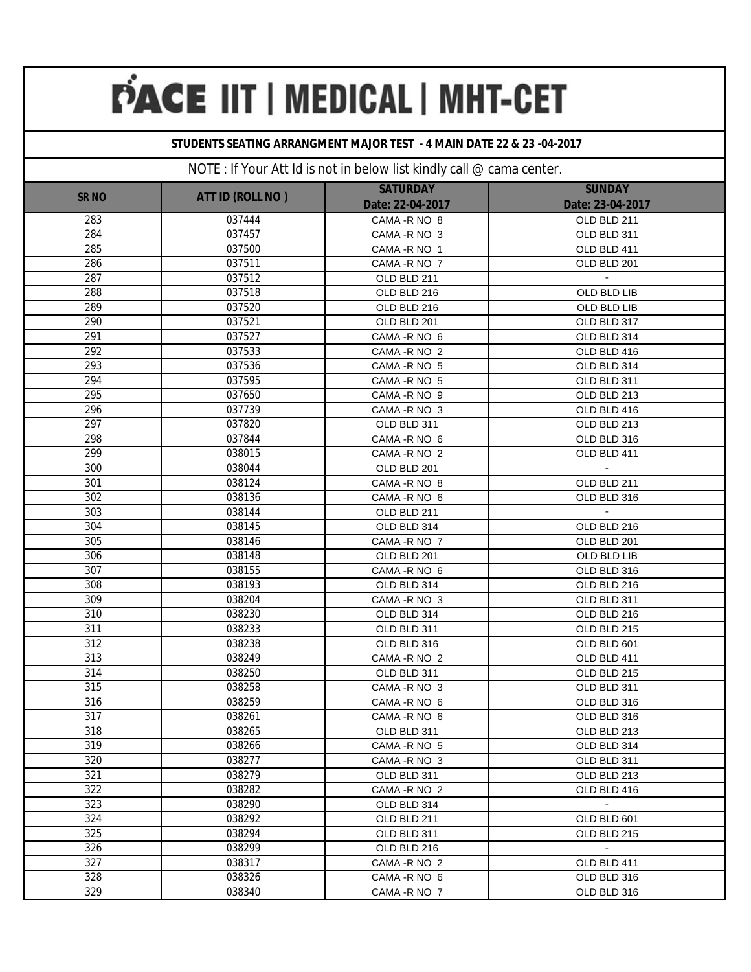### **STUDENTS SEATING ARRANGMENT MAJOR TEST - 4 MAIN DATE 22 & 23 -04-2017**

|                  |                  | <b>SATURDAY</b>  | <b>SUNDAY</b>    |
|------------------|------------------|------------------|------------------|
| <b>SR NO</b>     | ATT ID (ROLL NO) | Date: 22-04-2017 | Date: 23-04-2017 |
| 283              | 037444           | CAMA - R NO 8    | OLD BLD 211      |
| 284              | 037457           | CAMA - R NO 3    | OLD BLD 311      |
| 285              | 037500           | CAMA - R NO 1    | OLD BLD 411      |
| 286              | 037511           | CAMA - R NO 7    | OLD BLD 201      |
| 287              | 037512           | OLD BLD 211      |                  |
| 288              | 037518           | OLD BLD 216      | OLD BLD LIB      |
| 289              | 037520           | OLD BLD 216      | OLD BLD LIB      |
| $\overline{290}$ | 037521           | OLD BLD 201      | OLD BLD 317      |
| 291              | 037527           | CAMA - R NO 6    | OLD BLD 314      |
| 292              | 037533           | CAMA - R NO 2    | OLD BLD 416      |
| 293              | 037536           | CAMA - R NO 5    | OLD BLD 314      |
| 294              | 037595           | CAMA - R NO 5    | OLD BLD 311      |
| 295              | 037650           | CAMA - R NO 9    | OLD BLD 213      |
| 296              | 037739           | CAMA - R NO 3    | OLD BLD 416      |
| 297              | 037820           | OLD BLD 311      | OLD BLD 213      |
| 298              | 037844           | CAMA - R NO 6    | OLD BLD 316      |
| 299              | 038015           | CAMA - R NO 2    | OLD BLD 411      |
| 300              | 038044           | OLD BLD 201      |                  |
| 301              | 038124           | CAMA - R NO 8    | OLD BLD 211      |
| 302              | 038136           | CAMA - R NO 6    | OLD BLD 316      |
| 303              | 038144           | OLD BLD 211      |                  |
| 304              | 038145           | OLD BLD 314      | OLD BLD 216      |
| 305              | 038146           | CAMA - R NO 7    | OLD BLD 201      |
| 306              | 038148           | OLD BLD 201      | OLD BLD LIB      |
| 307              | 038155           | CAMA - R NO 6    | OLD BLD 316      |
| 308              | 038193           | OLD BLD 314      | OLD BLD 216      |
| 309              | 038204           | CAMA - R NO 3    | OLD BLD 311      |
| 310              | 038230           | OLD BLD 314      | OLD BLD 216      |
| 311              | 038233           | OLD BLD 311      | OLD BLD 215      |
| 312              | 038238           | OLD BLD 316      | OLD BLD 601      |
| 313              | 038249           | CAMA - R NO 2    | OLD BLD 411      |
| 314              | 038250           | OLD BLD 311      | OLD BLD 215      |
| 315              | 038258           | CAMA - R NO 3    | OLD BLD 311      |
| 316              | 038259           | CAMA - R NO 6    | OLD BLD 316      |
| 317              | 038261           | CAMA - R NO 6    | OLD BLD 316      |
| 318              | 038265           | OLD BLD 311      | OLD BLD 213      |
| 319              | 038266           | CAMA - R NO 5    | OLD BLD 314      |
| 320              | 038277           | CAMA - R NO 3    | OLD BLD 311      |
| 321              | 038279           | OLD BLD 311      | OLD BLD 213      |
| 322              | 038282           | CAMA - R NO 2    | OLD BLD 416      |
| 323              | 038290           | OLD BLD 314      | $\sim$           |
| 324              | 038292           | OLD BLD 211      | OLD BLD 601      |
| 325              | 038294           | OLD BLD 311      | OLD BLD 215      |
| 326              | 038299           | OLD BLD 216      | $\sim$           |
| 327              | 038317           | CAMA - R NO 2    | OLD BLD 411      |
| 328              | 038326           | CAMA - R NO 6    | OLD BLD 316      |
| 329              | 038340           | CAMA - R NO 7    | OLD BLD 316      |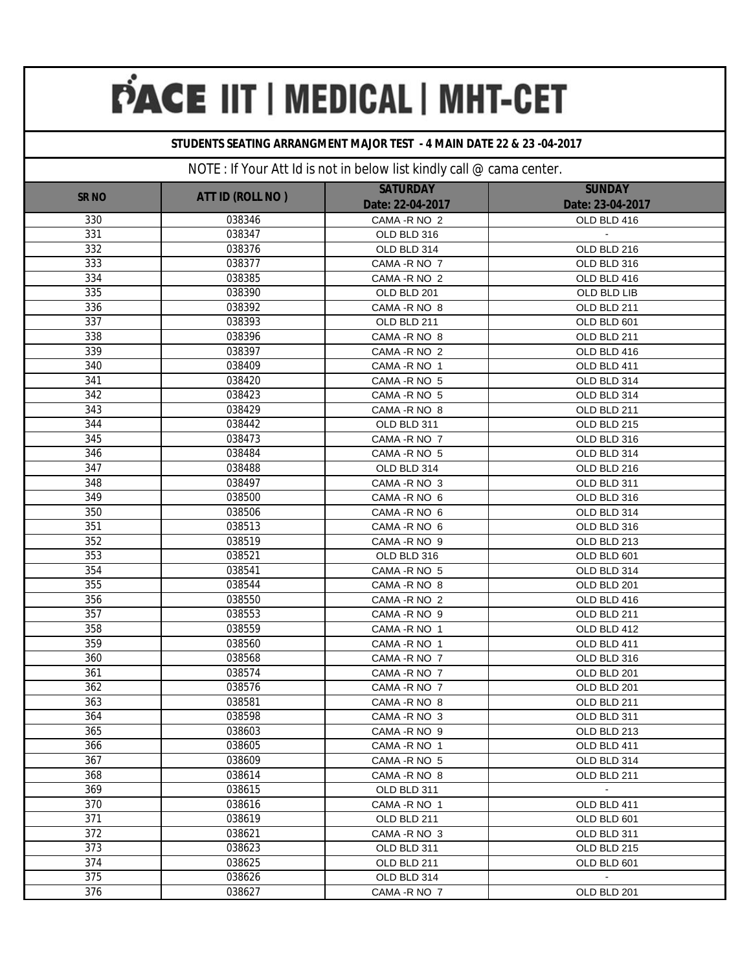### **STUDENTS SEATING ARRANGMENT MAJOR TEST - 4 MAIN DATE 22 & 23 -04-2017**

|              |                  |                                     | <b>SUNDAY</b>               |
|--------------|------------------|-------------------------------------|-----------------------------|
| <b>SR NO</b> | ATT ID (ROLL NO) | <b>SATURDAY</b><br>Date: 22-04-2017 | Date: 23-04-2017            |
| 330          | 038346           | CAMA - R NO 2                       | OLD BLD 416                 |
| 331          | 038347           | OLD BLD 316                         |                             |
| 332          | 038376           | OLD BLD 314                         | OLD BLD 216                 |
| 333          | 038377           | CAMA - R NO 7                       | OLD BLD 316                 |
| 334          | 038385           | CAMA - R NO 2                       | OLD BLD 416                 |
| 335          | 038390           | OLD BLD 201                         | OLD BLD LIB                 |
| 336          | 038392           | CAMA - R NO 8                       | OLD BLD 211                 |
| 337          | 038393           | OLD BLD 211                         | OLD BLD 601                 |
| 338          | 038396           | CAMA - R NO 8                       | OLD BLD 211                 |
| 339          | 038397           | CAMA - R NO 2                       | OLD BLD 416                 |
| 340          | 038409           | CAMA - R NO 1                       | OLD BLD 411                 |
| 341          | 038420           | CAMA - R NO 5                       | OLD BLD 314                 |
| 342          | 038423           | CAMA - R NO 5                       | OLD BLD 314                 |
| 343          | 038429           | CAMA - R NO 8                       | OLD BLD 211                 |
| 344          | 038442           | OLD BLD 311                         | OLD BLD 215                 |
| 345          | 038473           | CAMA - R NO 7                       | OLD BLD 316                 |
| 346          | 038484           | CAMA - R NO 5                       | OLD BLD 314                 |
| 347          | 038488           | OLD BLD 314                         | OLD BLD 216                 |
| 348          | 038497           | CAMA - R NO 3                       | OLD BLD 311                 |
| 349          | 038500           | CAMA - R NO 6                       | OLD BLD 316                 |
| 350          | 038506           | CAMA - R NO 6                       | OLD BLD 314                 |
| 351          | 038513           | CAMA - R NO 6                       | OLD BLD 316                 |
| 352          | 038519           | CAMA - R NO 9                       | OLD BLD 213                 |
| 353          | 038521           | OLD BLD 316                         | OLD BLD 601                 |
| 354          | 038541           | CAMA - R NO 5                       | OLD BLD 314                 |
| 355          | 038544           | CAMA - R NO 8                       | OLD BLD 201                 |
| 356          | 038550           | CAMA - R NO 2                       | OLD BLD 416                 |
| 357          | 038553           | CAMA - R NO 9                       | OLD BLD 211                 |
| 358          | 038559           | CAMA - RNO 1                        | OLD BLD 412                 |
| 359          | 038560           | CAMA - R NO 1                       | OLD BLD 411                 |
| 360          | 038568           | CAMA - R NO 7                       | OLD BLD 316                 |
| 361          | 038574           | CAMA - R NO 7                       | OLD BLD 201                 |
| 362          | 038576           | CAMA - R NO 7                       | OLD BLD 201                 |
| 363          | 038581           | CAMA - R NO 8                       | OLD BLD 211                 |
| 364          | 038598           | CAMA - R NO 3                       | OLD BLD 311                 |
| 365          | 038603           | CAMA - R NO 9                       | OLD BLD 213                 |
| 366          | 038605           | CAMA - R NO 1                       | OLD BLD 411                 |
| 367          | 038609           | CAMA - R NO 5                       | OLD BLD 314                 |
| 368          | 038614           | CAMA - R NO 8                       | OLD BLD 211                 |
| 369          | 038615           | OLD BLD 311                         | $\mathcal{L}_{\mathcal{A}}$ |
| 370          | 038616           | CAMA - R NO 1                       | OLD BLD 411                 |
| 371          | 038619           | OLD BLD 211                         | OLD BLD 601                 |
| 372          | 038621           | CAMA - R NO 3                       | OLD BLD 311                 |
| 373          | 038623           | OLD BLD 311                         | OLD BLD 215                 |
| 374          | 038625           | OLD BLD 211                         | OLD BLD 601                 |
| 375          | 038626           | OLD BLD 314                         | $\blacksquare$              |
| 376          | 038627           | CAMA - R NO 7                       | OLD BLD 201                 |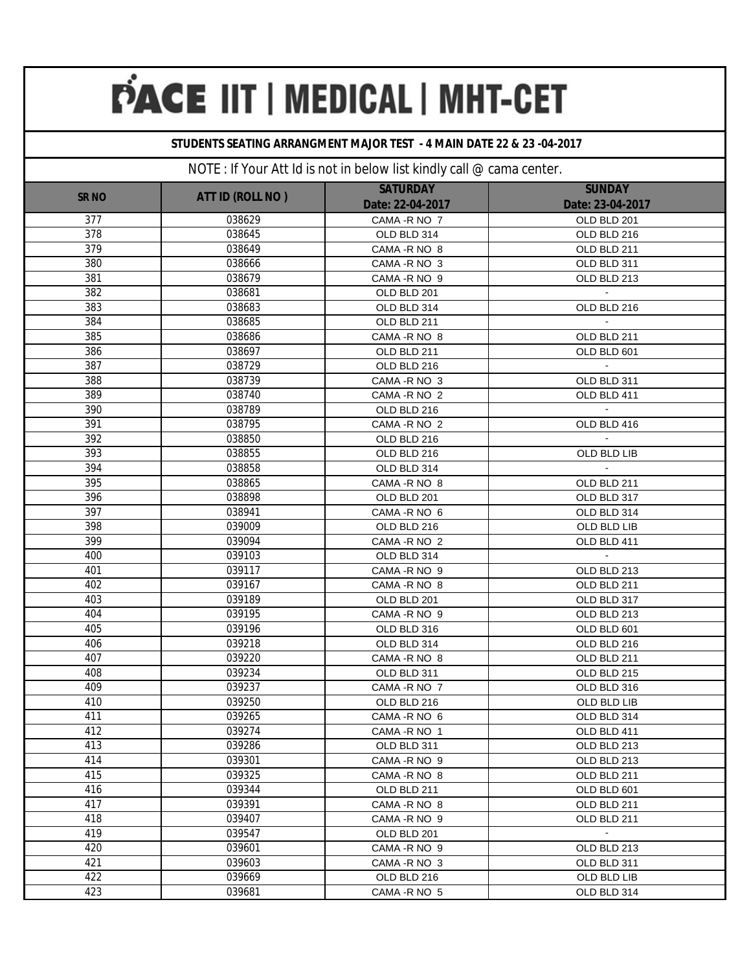#### **STUDENTS SEATING ARRANGMENT MAJOR TEST - 4 MAIN DATE 22 & 23 -04-2017**

|                  |                  | <b>SATURDAY</b>  | <b>SUNDAY</b>    |
|------------------|------------------|------------------|------------------|
| <b>SR NO</b>     | ATT ID (ROLL NO) | Date: 22-04-2017 | Date: 23-04-2017 |
| $\overline{3}77$ | 038629           | CAMA - R NO 7    | OLD BLD 201      |
| 378              | 038645           | OLD BLD 314      | OLD BLD 216      |
| 379              | 038649           | CAMA - R NO 8    | OLD BLD 211      |
| 380              | 038666           | CAMA - R NO 3    | OLD BLD 311      |
| 381              | 038679           | CAMA - R NO 9    | OLD BLD 213      |
| 382              | 038681           | OLD BLD 201      |                  |
| 383              | 038683           | OLD BLD 314      | OLD BLD 216      |
| 384              | 038685           | OLD BLD 211      |                  |
| 385              | 038686           | CAMA - R NO 8    | OLD BLD 211      |
| 386              | 038697           | OLD BLD 211      | OLD BLD 601      |
| 387              | 038729           | OLD BLD 216      |                  |
| 388              | 038739           | CAMA - R NO 3    | OLD BLD 311      |
| 389              | 038740           | CAMA - R NO 2    | OLD BLD 411      |
| 390              | 038789           | OLD BLD 216      |                  |
| 391              | 038795           | CAMA - R NO 2    | OLD BLD 416      |
| 392              | 038850           | OLD BLD 216      |                  |
| 393              | 038855           | OLD BLD 216      | OLD BLD LIB      |
| 394              | 038858           | OLD BLD 314      | $\mathbf{u}$     |
| 395              | 038865           | CAMA - R NO 8    | OLD BLD 211      |
| 396              | 038898           | OLD BLD 201      | OLD BLD 317      |
| 397              | 038941           | CAMA - R NO 6    | OLD BLD 314      |
| 398              | 039009           | OLD BLD 216      | OLD BLD LIB      |
| 399              | 039094           | CAMA - R NO 2    | OLD BLD 411      |
| 400              | 039103           | OLD BLD 314      | $\sim$           |
| 401              | 039117           | CAMA -R NO 9     | OLD BLD 213      |
| 402              | 039167           | CAMA - R NO 8    | OLD BLD 211      |
| 403              | 039189           | OLD BLD 201      | OLD BLD 317      |
| 404              | 039195           | CAMA -R NO 9     | OLD BLD 213      |
| 405              | 039196           | OLD BLD 316      | OLD BLD 601      |
| 406              | 039218           | OLD BLD 314      | OLD BLD 216      |
| 407              | 039220           | CAMA - R NO 8    | OLD BLD 211      |
| 408              | 039234           | OLD BLD 311      | OLD BLD 215      |
| 409              | 039237           | CAMA - R NO 7    | OLD BLD 316      |
| 410              | 039250           | OLD BLD 216      | OLD BLD LIB      |
| 411              | 039265           | CAMA - R NO 6    | OLD BLD 314      |
| 412              | 039274           | CAMA-R NO 1      | OLD BLD 411      |
| 413              | 039286           | OLD BLD 311      | OLD BLD 213      |
| 414              | 039301           | CAMA - R NO 9    | OLD BLD 213      |
| 415              | 039325           | CAMA - R NO 8    | OLD BLD 211      |
| 416              | 039344           | OLD BLD 211      | OLD BLD 601      |
| 417              | 039391           | CAMA - R NO 8    | OLD BLD 211      |
| 418              | 039407           | CAMA - R NO 9    | OLD BLD 211      |
| 419              | 039547           | OLD BLD 201      | $\bullet$        |
| 420              | 039601           | CAMA - R NO 9    | OLD BLD 213      |
| 421              | 039603           | CAMA - R NO 3    | OLD BLD 311      |
| 422              | 039669           | OLD BLD 216      | OLD BLD LIB      |
| 423              | 039681           | CAMA - R NO 5    | OLD BLD 314      |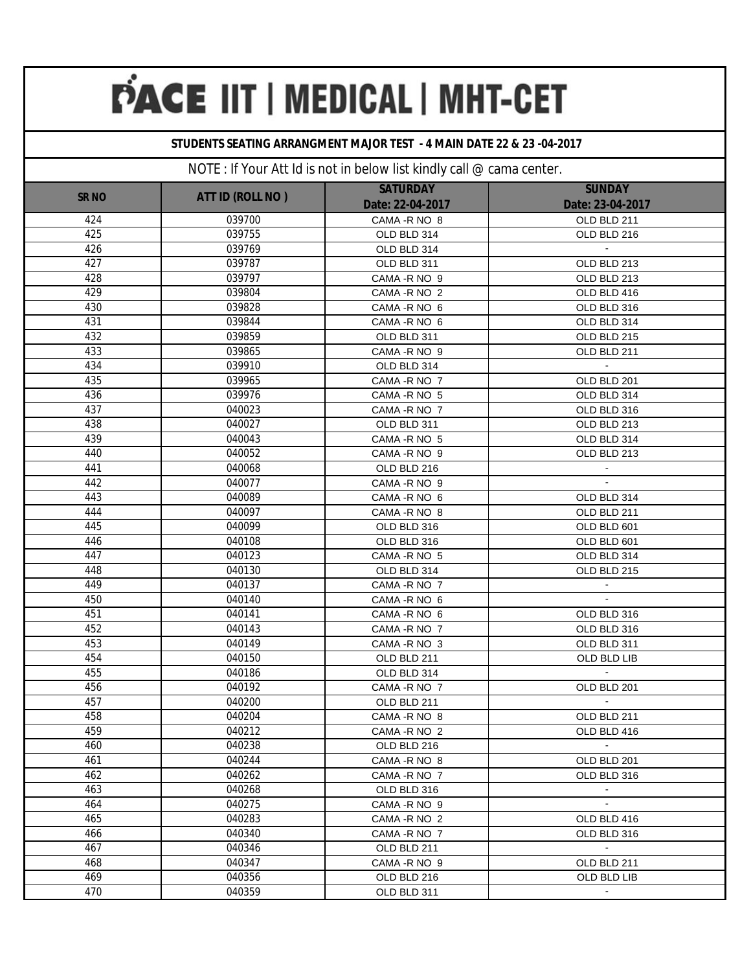### **STUDENTS SEATING ARRANGMENT MAJOR TEST - 4 MAIN DATE 22 & 23 -04-2017**

| <b>SR NO</b> | ATT ID (ROLL NO) | <b>SATURDAY</b><br>Date: 22-04-2017 | <b>SUNDAY</b><br>Date: 23-04-2017 |
|--------------|------------------|-------------------------------------|-----------------------------------|
| 424          | 039700           | CAMA - R NO 8                       | OLD BLD 211                       |
| 425          | 039755           | OLD BLD 314                         | OLD BLD 216                       |
| 426          | 039769           | OLD BLD 314                         |                                   |
| 427          | 039787           | OLD BLD 311                         | OLD BLD 213                       |
| 428          | 039797           | CAMA - R NO 9                       | OLD BLD 213                       |
| 429          | 039804           | CAMA - R NO 2                       | OLD BLD 416                       |
| 430          | 039828           | CAMA - R NO 6                       | OLD BLD 316                       |
| 431          | 039844           | CAMA - R NO 6                       | OLD BLD 314                       |
| 432          | 039859           | OLD BLD 311                         | OLD BLD 215                       |
| 433          | 039865           | CAMA-R NO 9                         | OLD BLD 211                       |
| 434          | 039910           | OLD BLD 314                         |                                   |
| 435          | 039965           | CAMA - R NO 7                       | OLD BLD 201                       |
| 436          | 039976           | CAMA - R NO 5                       | OLD BLD 314                       |
| 437          | 040023           | CAMA - R NO 7                       | OLD BLD 316                       |
| 438          | 040027           | OLD BLD 311                         | OLD BLD 213                       |
| 439          | 040043           | CAMA - R NO 5                       | OLD BLD 314                       |
| 440          | 040052           | CAMA - R NO 9                       | OLD BLD 213                       |
| 441          | 040068           | OLD BLD 216                         |                                   |
| 442          | 040077           | CAMA -R NO 9                        |                                   |
| 443          | 040089           | CAMA - R NO 6                       | OLD BLD 314                       |
| 444          | 040097           | CAMA - R NO 8                       | OLD BLD 211                       |
| 445          | 040099           | OLD BLD 316                         | OLD BLD 601                       |
| 446          | 040108           | OLD BLD 316                         | OLD BLD 601                       |
| 447          | 040123           | CAMA - R NO 5                       | OLD BLD 314                       |
| 448          | 040130           | OLD BLD 314                         | OLD BLD 215                       |
| 449          | 040137           | CAMA - R NO 7                       |                                   |
| 450          | 040140           | CAMA - R NO 6                       | $\mathbf{r}$                      |
| 451          | 040141           | CAMA - R NO 6                       | OLD BLD 316                       |
| 452          | 040143           | CAMA - R NO 7                       | OLD BLD 316                       |
| 453          | 040149           | CAMA - R NO 3                       | OLD BLD 311                       |
| 454          | 040150           | OLD BLD 211                         | OLD BLD LIB                       |
| 455          | 040186           | OLD BLD 314                         |                                   |
| 456          | 040192           | CAMA - R NO 7                       | OLD BLD 201                       |
| 457          | 040200           | OLD BLD 211                         |                                   |
| 458          | 040204           | CAMA - R NO 8                       | OLD BLD 211                       |
| 459          | 040212           | CAMA - R NO 2                       | OLD BLD 416<br>$\blacksquare$     |
| 460<br>461   | 040238<br>040244 | OLD BLD 216                         |                                   |
| 462          | 040262           | CAMA - R NO 8<br>CAMA -R NO 7       | OLD BLD 201<br>OLD BLD 316        |
| 463          | 040268           | OLD BLD 316                         | $\sim$                            |
| 464          | 040275           | CAMA - R NO 9                       | $\mathbf{r}$                      |
| 465          | 040283           | CAMA - R NO 2                       | OLD BLD 416                       |
| 466          | 040340           | CAMA - R NO 7                       | OLD BLD 316                       |
| 467          | 040346           | OLD BLD 211                         | $\sim$                            |
| 468          | 040347           | CAMA - R NO 9                       | OLD BLD 211                       |
| 469          | 040356           | OLD BLD 216                         | OLD BLD LIB                       |
| 470          | 040359           | OLD BLD 311                         | $\blacksquare$                    |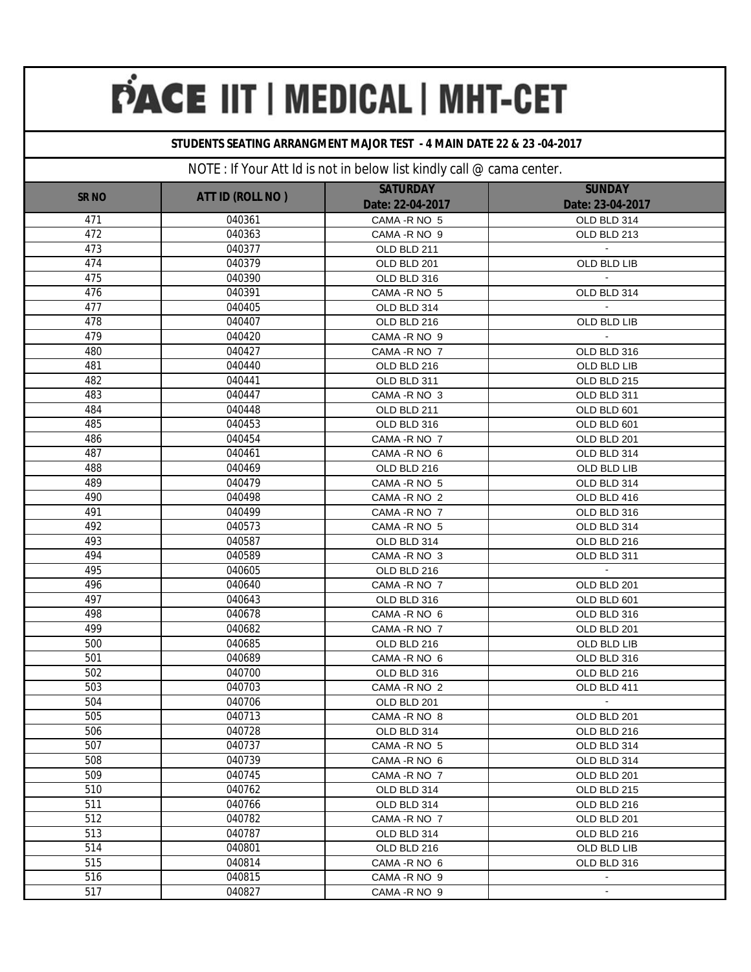### **STUDENTS SEATING ARRANGMENT MAJOR TEST - 4 MAIN DATE 22 & 23 -04-2017**

| <b>SR NO</b> | ATT ID (ROLL NO) | <b>SATURDAY</b>  | <b>SUNDAY</b>    |
|--------------|------------------|------------------|------------------|
|              |                  | Date: 22-04-2017 | Date: 23-04-2017 |
| 471          | 040361           | CAMA - R NO 5    | OLD BLD 314      |
| 472          | 040363           | CAMA - R NO 9    | OLD BLD 213      |
| 473          | 040377           | OLD BLD 211      |                  |
| 474          | 040379           | OLD BLD 201      | OLD BLD LIB      |
| 475          | 040390           | OLD BLD 316      |                  |
| 476          | 040391           | CAMA - R NO 5    | OLD BLD 314      |
| 477          | 040405           | OLD BLD 314      |                  |
| 478          | 040407           | OLD BLD 216      | OLD BLD LIB      |
| 479          | 040420           | CAMA - R NO 9    |                  |
| 480          | 040427           | CAMA - R NO 7    | OLD BLD 316      |
| 481          | 040440           | OLD BLD 216      | OLD BLD LIB      |
| 482          | 040441           | OLD BLD 311      | OLD BLD 215      |
| 483          | 040447           | CAMA - R NO 3    | OLD BLD 311      |
| 484          | 040448           | OLD BLD 211      | OLD BLD 601      |
| 485          | 040453           | OLD BLD 316      | OLD BLD 601      |
| 486          | 040454           | CAMA - R NO 7    | OLD BLD 201      |
| 487          | 040461           | CAMA - R NO 6    | OLD BLD 314      |
| 488          | 040469           | OLD BLD 216      | OLD BLD LIB      |
| 489          | 040479           | CAMA - R NO 5    | OLD BLD 314      |
| 490          | 040498           | CAMA - R NO 2    | OLD BLD 416      |
| 491          | 040499           | CAMA - R NO 7    | OLD BLD 316      |
| 492          | 040573           | CAMA - R NO 5    | OLD BLD 314      |
| 493          | 040587           | OLD BLD 314      | OLD BLD 216      |
| 494          | 040589           | CAMA - R NO 3    | OLD BLD 311      |
| 495          | 040605           | OLD BLD 216      | $\omega$         |
| 496          | 040640           | CAMA - R NO 7    | OLD BLD 201      |
| 497          | 040643           | OLD BLD 316      | OLD BLD 601      |
| 498          | 040678           | CAMA -R NO 6     | OLD BLD 316      |
| 499          | 040682           | CAMA -R NO 7     | OLD BLD 201      |
| 500          | 040685           | OLD BLD 216      | OLD BLD LIB      |
| 501          | 040689           | CAMA -R NO 6     | OLD BLD 316      |
| 502          | 040700           | OLD BLD 316      | OLD BLD 216      |
| 503          | 040703           | CAMA - R NO 2    | OLD BLD 411      |
| 504          | 040706           | OLD BLD 201      |                  |
| 505          | 040713           | CAMA - R NO 8    | OLD BLD 201      |
| 506          | 040728           | OLD BLD 314      | OLD BLD 216      |
| 507          | 040737           | CAMA - R NO 5    | OLD BLD 314      |
| 508          | 040739           | CAMA - R NO 6    | OLD BLD 314      |
| 509          | 040745           | CAMA - R NO 7    | OLD BLD 201      |
| 510          | 040762           | OLD BLD 314      | OLD BLD 215      |
| 511          | 040766           | OLD BLD 314      | OLD BLD 216      |
| 512          | 040782           | CAMA - R NO 7    | OLD BLD 201      |
| 513          | 040787           | OLD BLD 314      | OLD BLD 216      |
| 514          | 040801           | OLD BLD 216      | OLD BLD LIB      |
| 515          | 040814           | CAMA - R NO 6    | OLD BLD 316      |
| 516          | 040815           | CAMA - R NO 9    | $\blacksquare$   |
| 517          | 040827           | CAMA - R NO 9    | $\blacksquare$   |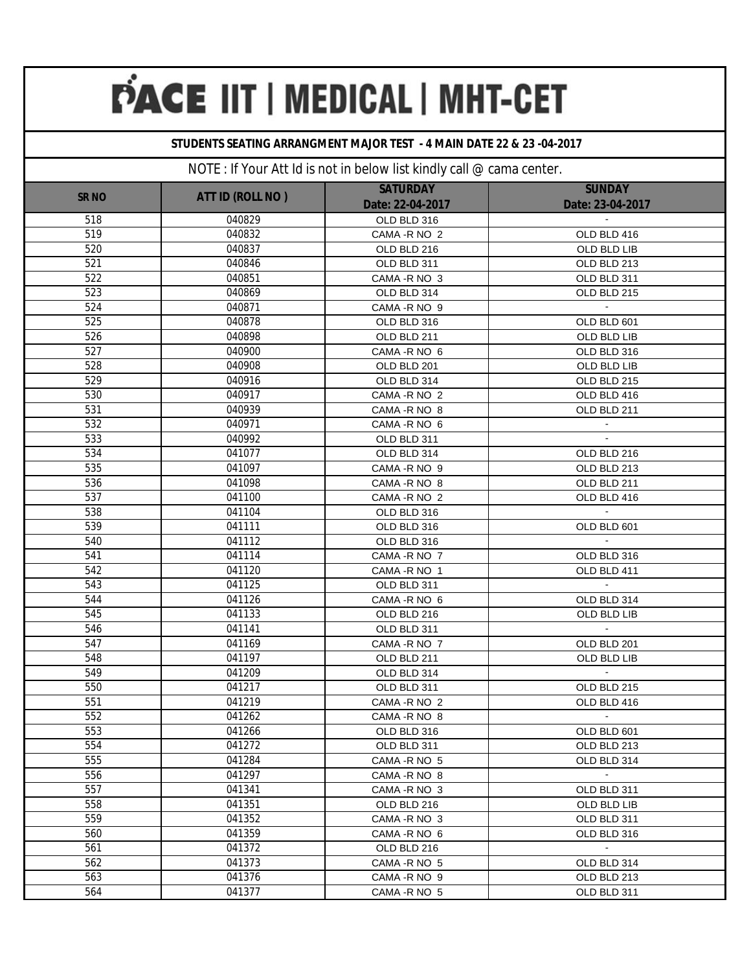### **STUDENTS SEATING ARRANGMENT MAJOR TEST - 4 MAIN DATE 22 & 23 -04-2017**

| <b>SUNDAY</b><br><b>SATURDAY</b><br><b>ATT ID (ROLL NO)</b><br><b>SR NO</b><br>Date: 23-04-2017<br>Date: 22-04-2017<br>518<br>040829<br>OLD BLD 316<br>519<br>040832<br>CAMA - R NO 2<br>OLD BLD 416<br>520<br>040837<br>OLD BLD 216<br>OLD BLD LIB<br>521<br>040846<br>OLD BLD 311<br>OLD BLD 213 |  |
|----------------------------------------------------------------------------------------------------------------------------------------------------------------------------------------------------------------------------------------------------------------------------------------------------|--|
|                                                                                                                                                                                                                                                                                                    |  |
|                                                                                                                                                                                                                                                                                                    |  |
|                                                                                                                                                                                                                                                                                                    |  |
|                                                                                                                                                                                                                                                                                                    |  |
|                                                                                                                                                                                                                                                                                                    |  |
| 522<br>040851<br>CAMA - R NO 3<br>OLD BLD 311                                                                                                                                                                                                                                                      |  |
| 523<br>040869<br>OLD BLD 215<br>OLD BLD 314                                                                                                                                                                                                                                                        |  |
| 524<br>040871<br>CAMA - R NO 9                                                                                                                                                                                                                                                                     |  |
| 525<br>040878<br>OLD BLD 316<br>OLD BLD 601                                                                                                                                                                                                                                                        |  |
| 526<br>040898<br>OLD BLD 211<br>OLD BLD LIB                                                                                                                                                                                                                                                        |  |
| 527<br>040900<br>CAMA - R NO 6<br>OLD BLD 316                                                                                                                                                                                                                                                      |  |
| 528<br>040908<br>OLD BLD LIB<br>OLD BLD 201                                                                                                                                                                                                                                                        |  |
| 529<br>040916<br>OLD BLD 215<br>OLD BLD 314                                                                                                                                                                                                                                                        |  |
| 530<br>040917<br>CAMA - R NO 2<br>OLD BLD 416                                                                                                                                                                                                                                                      |  |
| 531<br>040939<br>OLD BLD 211<br>CAMA - R NO 8                                                                                                                                                                                                                                                      |  |
| 532<br>040971<br>CAMA - R NO 6                                                                                                                                                                                                                                                                     |  |
| 533<br>040992<br>OLD BLD 311                                                                                                                                                                                                                                                                       |  |
| 534<br>041077<br>OLD BLD 314<br>OLD BLD 216                                                                                                                                                                                                                                                        |  |
| 535<br>041097<br>CAMA - R NO 9<br>OLD BLD 213                                                                                                                                                                                                                                                      |  |
| 536<br>041098<br>CAMA - R NO 8<br>OLD BLD 211                                                                                                                                                                                                                                                      |  |
| 537<br>041100<br>CAMA - R NO 2<br>OLD BLD 416                                                                                                                                                                                                                                                      |  |
| 538<br>$\sim$<br>041104<br>OLD BLD 316                                                                                                                                                                                                                                                             |  |
| 539<br>041111<br>OLD BLD 601<br>OLD BLD 316                                                                                                                                                                                                                                                        |  |
| 540<br>041112<br>OLD BLD 316                                                                                                                                                                                                                                                                       |  |
| 541<br>041114<br>OLD BLD 316<br>CAMA - R NO 7                                                                                                                                                                                                                                                      |  |
| 542<br>041120<br>OLD BLD 411<br>CAMA - R NO 1                                                                                                                                                                                                                                                      |  |
| 543<br>041125<br>$\mathbf{r}$<br>OLD BLD 311                                                                                                                                                                                                                                                       |  |
| 544<br>041126<br>OLD BLD 314<br>CAMA - R NO 6                                                                                                                                                                                                                                                      |  |
| 545<br>041133<br>OLD BLD LIB<br>OLD BLD 216                                                                                                                                                                                                                                                        |  |
| 546<br>041141<br>$\mathbf{r}$<br>OLD BLD 311                                                                                                                                                                                                                                                       |  |
| 547<br>041169<br>CAMA - R NO 7<br>OLD BLD 201                                                                                                                                                                                                                                                      |  |
| 548<br>041197<br>OLD BLD LIB<br>OLD BLD 211                                                                                                                                                                                                                                                        |  |
| 549<br>$\mathbf{r}$<br>041209<br>OLD BLD 314                                                                                                                                                                                                                                                       |  |
| 550<br>041217<br>OLD BLD 311<br>OLD BLD 215                                                                                                                                                                                                                                                        |  |
| 551<br>041219<br>CAMA - R NO 2<br>OLD BLD 416                                                                                                                                                                                                                                                      |  |
| 552<br>041262<br>CAMA - R NO 8<br>$\blacksquare$                                                                                                                                                                                                                                                   |  |
| 553<br>041266<br>OLD BLD 316<br>OLD BLD 601                                                                                                                                                                                                                                                        |  |
| 554<br>041272<br>OLD BLD 311<br>OLD BLD 213                                                                                                                                                                                                                                                        |  |
| 555<br>041284<br>CAMA - R NO 5<br>OLD BLD 314                                                                                                                                                                                                                                                      |  |
| 556<br>041297<br>$\sim$<br>CAMA - R NO 8                                                                                                                                                                                                                                                           |  |
| 557<br>041341<br>CAMA - R NO 3<br>OLD BLD 311                                                                                                                                                                                                                                                      |  |
| 558<br>041351<br>OLD BLD 216<br>OLD BLD LIB                                                                                                                                                                                                                                                        |  |
| 559<br>041352<br>CAMA - R NO 3<br>OLD BLD 311                                                                                                                                                                                                                                                      |  |
| 560<br>041359<br>CAMA - R NO 6<br>OLD BLD 316                                                                                                                                                                                                                                                      |  |
| $\sim$<br>561<br>041372<br>OLD BLD 216                                                                                                                                                                                                                                                             |  |
| 562<br>041373<br>CAMA - R NO 5<br>OLD BLD 314                                                                                                                                                                                                                                                      |  |
| 563<br>041376<br>OLD BLD 213<br>CAMA - R NO 9                                                                                                                                                                                                                                                      |  |
| 564<br>041377<br>CAMA - R NO 5<br>OLD BLD 311                                                                                                                                                                                                                                                      |  |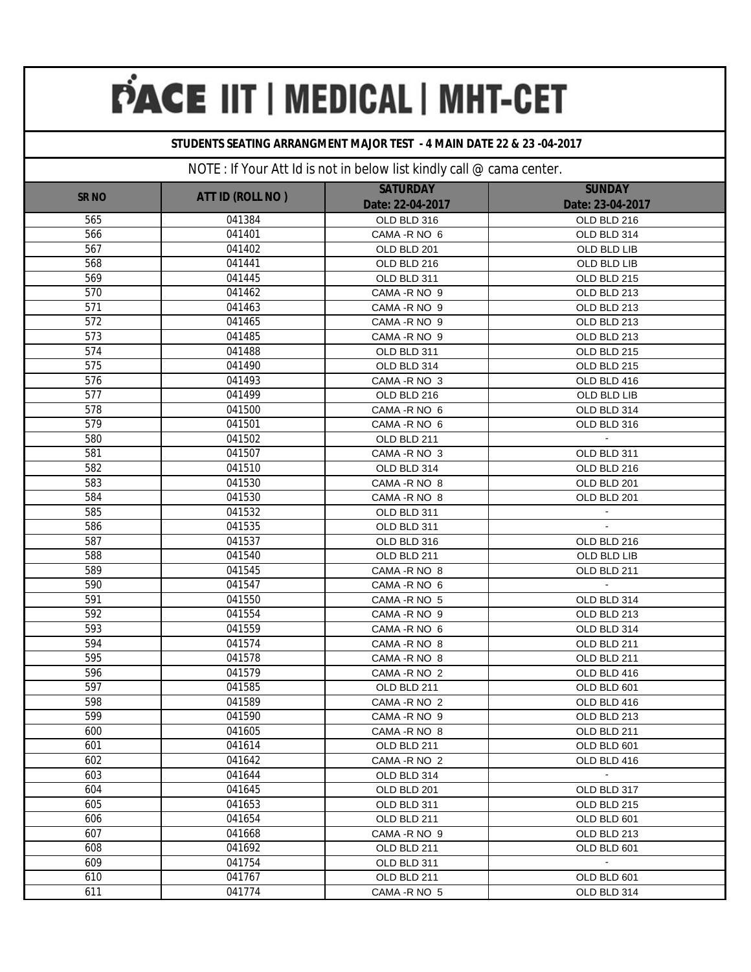### **STUDENTS SEATING ARRANGMENT MAJOR TEST - 4 MAIN DATE 22 & 23 -04-2017**

| <b>SUNDAY</b> |                  |                                     |                  |  |
|---------------|------------------|-------------------------------------|------------------|--|
| <b>SR NO</b>  | ATT ID (ROLL NO) | <b>SATURDAY</b><br>Date: 22-04-2017 | Date: 23-04-2017 |  |
| 565           | 041384           | OLD BLD 316                         | OLD BLD 216      |  |
| 566           | 041401           | CAMA - R NO 6                       | OLD BLD 314      |  |
| 567           | 041402           | OLD BLD 201                         | OLD BLD LIB      |  |
| 568           | 041441           | OLD BLD 216                         | OLD BLD LIB      |  |
| 569           | 041445           | OLD BLD 311                         | OLD BLD 215      |  |
| 570           | 041462           | CAMA - R NO 9                       | OLD BLD 213      |  |
| 571           | 041463           | CAMA - R NO 9                       | OLD BLD 213      |  |
| 572           | 041465           | CAMA - R NO 9                       | OLD BLD 213      |  |
| 573           | 041485           | CAMA - R NO 9                       | OLD BLD 213      |  |
| 574           | 041488           | OLD BLD 311                         | OLD BLD 215      |  |
| 575           | 041490           | OLD BLD 314                         | OLD BLD 215      |  |
| 576           | 041493           | CAMA - R NO 3                       | OLD BLD 416      |  |
| 577           | 041499           | OLD BLD 216                         | OLD BLD LIB      |  |
| 578           | 041500           | CAMA - R NO 6                       | OLD BLD 314      |  |
| 579           | 041501           | CAMA - R NO 6                       | OLD BLD 316      |  |
| 580           | 041502           | OLD BLD 211                         |                  |  |
| 581           | 041507           | CAMA - R NO 3                       | OLD BLD 311      |  |
| 582           | 041510           | OLD BLD 314                         | OLD BLD 216      |  |
| 583           | 041530           | CAMA - R NO 8                       | OLD BLD 201      |  |
| 584           | 041530           | CAMA-R NO 8                         | OLD BLD 201      |  |
| 585           | 041532           | OLD BLD 311                         |                  |  |
| 586           | 041535           | OLD BLD 311                         |                  |  |
| 587           | 041537           | OLD BLD 316                         | OLD BLD 216      |  |
| 588           | 041540           | OLD BLD 211                         | OLD BLD LIB      |  |
| 589           | 041545           | CAMA -R NO 8                        | OLD BLD 211      |  |
| 590           | 041547           | CAMA - R NO 6                       |                  |  |
| 591           | 041550           | CAMA - R NO 5                       | OLD BLD 314      |  |
| 592           | 041554           | CAMA - R NO 9                       | OLD BLD 213      |  |
| 593           | 041559           | CAMA - R NO 6                       | OLD BLD 314      |  |
| 594           | 041574           | CAMA - R NO 8                       | OLD BLD 211      |  |
| 595           | 041578           | CAMA - R NO 8                       | OLD BLD 211      |  |
| 596           | 041579           | CAMA - R NO 2                       | OLD BLD 416      |  |
| 597           | 041585           | OLD BLD 211                         | OLD BLD 601      |  |
| 598           | 041589           | CAMA - R NO 2                       | OLD BLD 416      |  |
| 599           | 041590           | CAMA - R NO 9                       | OLD BLD 213      |  |
| 600           | 041605           | CAMA-R NO 8                         | OLD BLD 211      |  |
| 601           | 041614           | OLD BLD 211                         | OLD BLD 601      |  |
| 602           | 041642           | CAMA - R NO 2                       | OLD BLD 416      |  |
| 603           | 041644           | OLD BLD 314                         | $\mathcal{L}$    |  |
| 604           | 041645           | OLD BLD 201                         | OLD BLD 317      |  |
| 605           | 041653           | OLD BLD 311                         | OLD BLD 215      |  |
| 606           | 041654           | OLD BLD 211                         | OLD BLD 601      |  |
| 607           | 041668           | CAMA - R NO 9                       | OLD BLD 213      |  |
| 608           | 041692           | OLD BLD 211                         | OLD BLD 601      |  |
| 609           | 041754           | OLD BLD 311                         | $\blacksquare$   |  |
| 610           | 041767           | OLD BLD 211                         | OLD BLD 601      |  |
| 611           | 041774           | CAMA - R NO 5                       | OLD BLD 314      |  |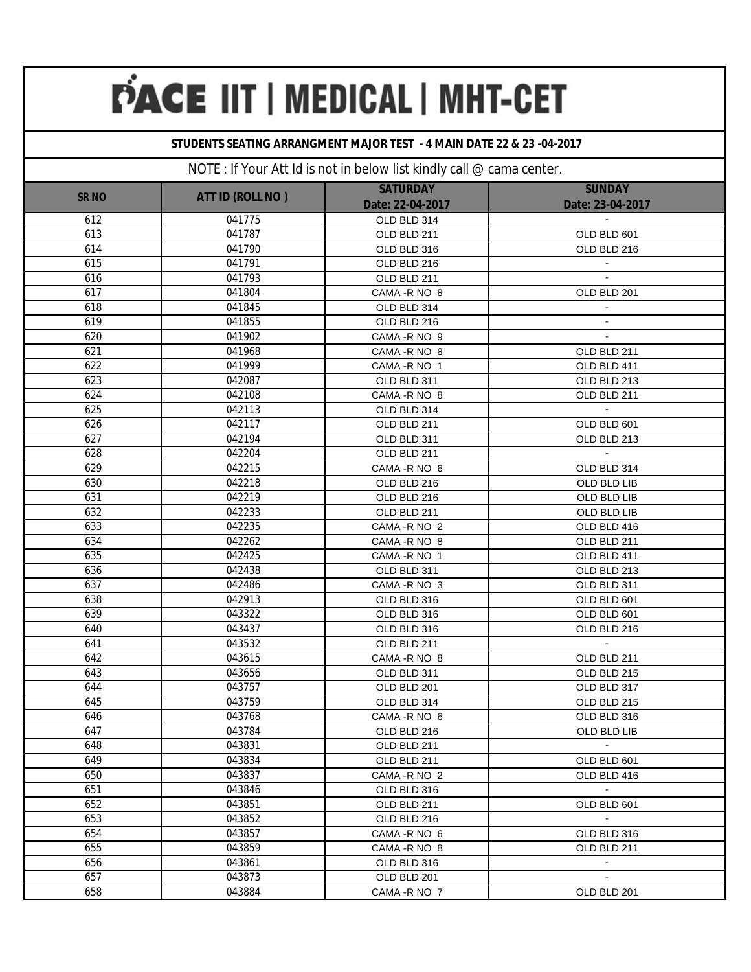### **STUDENTS SEATING ARRANGMENT MAJOR TEST - 4 MAIN DATE 22 & 23 -04-2017**

| <b>SR NO</b> | ATT ID (ROLL NO) | <b>SATURDAY</b><br>Date: 22-04-2017 | <b>SUNDAY</b><br>Date: 23-04-2017 |
|--------------|------------------|-------------------------------------|-----------------------------------|
| 612          | 041775           | OLD BLD 314                         |                                   |
| 613          | 041787           | OLD BLD 211                         | OLD BLD 601                       |
| 614          | 041790           | OLD BLD 316                         | OLD BLD 216                       |
| 615          | 041791           | OLD BLD 216                         |                                   |
| 616          | 041793           | OLD BLD 211                         |                                   |
| 617          | 041804           | CAMA - R NO 8                       | OLD BLD 201                       |
| 618          | 041845           | OLD BLD 314                         |                                   |
| 619          | 041855           | OLD BLD 216                         |                                   |
| 620          | 041902           | CAMA - R NO 9                       |                                   |
| 621          | 041968           | CAMA - R NO 8                       | OLD BLD 211                       |
| 622          | 041999           | CAMA - R NO 1                       | OLD BLD 411                       |
| 623          | 042087           | OLD BLD 311                         | OLD BLD 213                       |
| 624          | 042108           | CAMA - R NO 8                       | OLD BLD 211                       |
| 625          | 042113           | OLD BLD 314                         |                                   |
| 626          | 042117           | OLD BLD 211                         | OLD BLD 601                       |
| 627          | 042194           | OLD BLD 311                         | OLD BLD 213                       |
| 628          | 042204           | OLD BLD 211                         |                                   |
| 629          | 042215           | CAMA - R NO 6                       | OLD BLD 314                       |
| 630          | 042218           | OLD BLD 216                         | OLD BLD LIB                       |
| 631          | 042219           | OLD BLD 216                         | OLD BLD LIB                       |
| 632          | 042233           | OLD BLD 211                         | OLD BLD LIB                       |
| 633          | 042235           | CAMA - R NO 2                       | OLD BLD 416                       |
| 634          | 042262           | CAMA - R NO 8                       | OLD BLD 211                       |
| 635          | 042425           | CAMA - R NO 1                       | OLD BLD 411                       |
| 636          | 042438           | OLD BLD 311                         | OLD BLD 213                       |
| 637          | 042486           | CAMA - R NO 3                       | OLD BLD 311                       |
| 638          | 042913           | OLD BLD 316                         | OLD BLD 601                       |
| 639          | 043322           | OLD BLD 316                         | OLD BLD 601                       |
| 640          | 043437           | OLD BLD 316                         | OLD BLD 216                       |
| 641          | 043532           | OLD BLD 211                         |                                   |
| 642          | 043615           | CAMA - R NO 8                       | OLD BLD 211                       |
| 643          | 043656           | OLD BLD 311                         | OLD BLD 215                       |
| 644          | 043757           | OLD BLD 201                         | OLD BLD 317                       |
| 645          | 043759           | OLD BLD 314                         | OLD BLD 215                       |
| 646          | 043768           | CAMA - R NO 6                       | OLD BLD 316                       |
| 647          | 043784           | OLD BLD 216                         | OLD BLD LIB                       |
| 648          | 043831           | OLD BLD 211                         | $\omega$                          |
| 649          | 043834           | OLD BLD 211                         | OLD BLD 601                       |
| 650          | 043837           | CAMA - R NO 2                       | OLD BLD 416                       |
| 651          | 043846           | OLD BLD 316                         | $\sim$                            |
| 652          | 043851           | OLD BLD 211                         | OLD BLD 601                       |
| 653          | 043852           | OLD BLD 216                         | $\sim$                            |
| 654          | 043857           | CAMA - R NO 6                       | OLD BLD 316                       |
| 655          | 043859           | CAMA - R NO 8                       | OLD BLD 211                       |
| 656          | 043861           | OLD BLD 316                         | $\blacksquare$                    |
| 657          | 043873           | OLD BLD 201                         | $\blacksquare$                    |
| 658          | 043884           | CAMA - R NO 7                       | OLD BLD 201                       |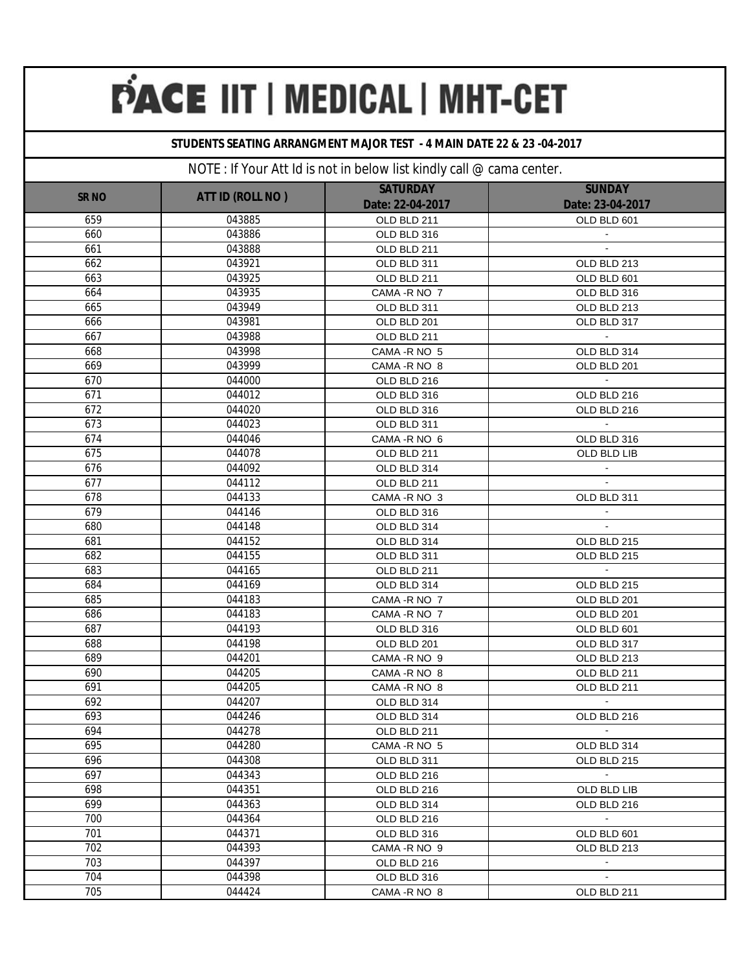### **STUDENTS SEATING ARRANGMENT MAJOR TEST - 4 MAIN DATE 22 & 23 -04-2017**

| <b>SR NO</b> | ATT ID (ROLL NO) | <b>SATURDAY</b>  | <b>SUNDAY</b>    |
|--------------|------------------|------------------|------------------|
|              |                  | Date: 22-04-2017 | Date: 23-04-2017 |
| 659          | 043885           | OLD BLD 211      | OLD BLD 601      |
| 660          | 043886           | OLD BLD 316      |                  |
| 661          | 043888           | OLD BLD 211      |                  |
| 662          | 043921           | OLD BLD 311      | OLD BLD 213      |
| 663          | 043925           | OLD BLD 211      | OLD BLD 601      |
| 664          | 043935           | CAMA - R NO 7    | OLD BLD 316      |
| 665          | 043949           | OLD BLD 311      | OLD BLD 213      |
| 666          | 043981           | OLD BLD 201      | OLD BLD 317      |
| 667          | 043988           | OLD BLD 211      | $\mathbf{r}$     |
| 668          | 043998           | CAMA - R NO 5    | OLD BLD 314      |
| 669          | 043999           | CAMA - R NO 8    | OLD BLD 201      |
| 670          | 044000           | OLD BLD 216      |                  |
| 671          | 044012           | OLD BLD 316      | OLD BLD 216      |
| 672          | 044020           | OLD BLD 316      | OLD BLD 216      |
| 673          | 044023           | OLD BLD 311      |                  |
| 674          | 044046           | CAMA - R NO 6    | OLD BLD 316      |
| 675          | 044078           | OLD BLD 211      | OLD BLD LIB      |
| 676          | 044092           | OLD BLD 314      |                  |
| 677          | 044112           | OLD BLD 211      |                  |
| 678          | 044133           | CAMA - R NO 3    | OLD BLD 311      |
| 679          | 044146           | OLD BLD 316      |                  |
| 680          | 044148           | OLD BLD 314      | $\mathbf{r}$     |
| 681          | 044152           | OLD BLD 314      | OLD BLD 215      |
| 682          | 044155           | OLD BLD 311      | OLD BLD 215      |
| 683          | 044165           | OLD BLD 211      |                  |
| 684          | 044169           | OLD BLD 314      | OLD BLD 215      |
| 685          | 044183           | CAMA - R NO 7    | OLD BLD 201      |
| 686          | 044183           | CAMA - R NO 7    | OLD BLD 201      |
| 687          | 044193           | OLD BLD 316      | OLD BLD 601      |
| 688          | 044198           | OLD BLD 201      | OLD BLD 317      |
| 689          | 044201           | CAMA - R NO 9    | OLD BLD 213      |
| 690          | 044205           | CAMA - R NO 8    | OLD BLD 211      |
| 691          | 044205           | CAMA - R NO 8    | OLD BLD 211      |
| 692          | 044207           | OLD BLD 314      |                  |
| 693          | 044246           | OLD BLD 314      | OLD BLD 216      |
| 694          | 044278           | OLD BLD 211      |                  |
| 695          | 044280           | CAMA - R NO 5    | OLD BLD 314      |
| 696          | 044308           | OLD BLD 311      | OLD BLD 215      |
| 697          | 044343           | OLD BLD 216      | $\sim$           |
| 698          | 044351           | OLD BLD 216      | OLD BLD LIB      |
| 699          | 044363           | OLD BLD 314      | OLD BLD 216      |
| 700          | 044364           | OLD BLD 216      | $\sim$           |
| 701          | 044371           | OLD BLD 316      | OLD BLD 601      |
| 702          | 044393           | CAMA - R NO 9    | OLD BLD 213      |
| 703          | 044397           | OLD BLD 216      | $\sim$           |
| 704          | 044398           | OLD BLD 316      | $\blacksquare$   |
| 705          | 044424           | CAMA - R NO 8    | OLD BLD 211      |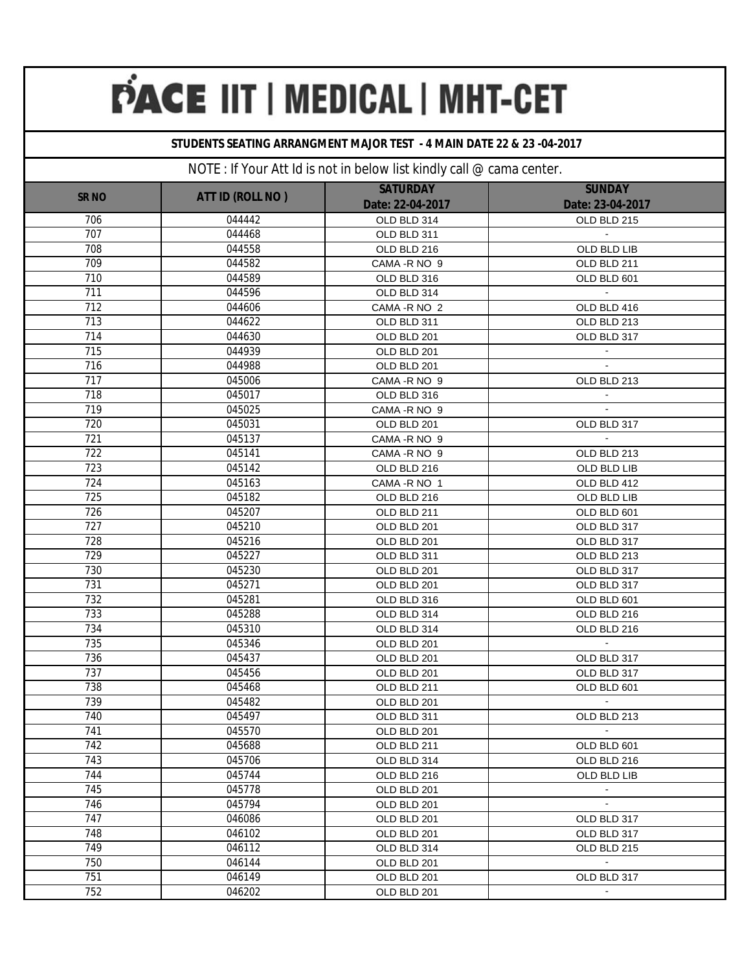### **STUDENTS SEATING ARRANGMENT MAJOR TEST - 4 MAIN DATE 22 & 23 -04-2017**

| <b>SR NO</b>     | ATT ID (ROLL NO) | <b>SATURDAY</b>                 | <b>SUNDAY</b>                   |
|------------------|------------------|---------------------------------|---------------------------------|
| 706              | 044442           | Date: 22-04-2017<br>OLD BLD 314 | Date: 23-04-2017<br>OLD BLD 215 |
| 707              | 044468           |                                 |                                 |
| 708              | 044558           | OLD BLD 311<br>OLD BLD 216      | OLD BLD LIB                     |
| 709              | 044582           | CAMA - R NO 9                   | OLD BLD 211                     |
| 710              | 044589           |                                 |                                 |
| 711              | 044596           | OLD BLD 316<br>OLD BLD 314      | OLD BLD 601<br>$\blacksquare$   |
| 712              | 044606           | CAMA - R NO 2                   | OLD BLD 416                     |
| 713              | 044622           | OLD BLD 311                     | OLD BLD 213                     |
| 714              | 044630           | OLD BLD 201                     | OLD BLD 317                     |
| 715              | 044939           | OLD BLD 201                     |                                 |
| 716              | 044988           | OLD BLD 201                     |                                 |
| 717              | 045006           | CAMA - R NO 9                   | OLD BLD 213                     |
| 718              | 045017           | OLD BLD 316                     |                                 |
| 719              | 045025           | CAMA - R NO 9                   |                                 |
| 720              | 045031           | OLD BLD 201                     | OLD BLD 317                     |
| 721              | 045137           | CAMA - R NO 9                   |                                 |
| 722              | 045141           | CAMA - R NO 9                   | OLD BLD 213                     |
| 723              | 045142           | OLD BLD 216                     | OLD BLD LIB                     |
| 724              | 045163           | CAMA - R NO 1                   | OLD BLD 412                     |
| $\overline{725}$ | 045182           | OLD BLD 216                     | OLD BLD LIB                     |
| $\overline{726}$ | 045207           | OLD BLD 211                     | OLD BLD 601                     |
| 727              | 045210           | OLD BLD 201                     | OLD BLD 317                     |
| 728              | 045216           | OLD BLD 201                     | OLD BLD 317                     |
| 729              | 045227           | OLD BLD 311                     | OLD BLD 213                     |
| 730              | 045230           | OLD BLD 201                     | OLD BLD 317                     |
| 731              | 045271           | OLD BLD 201                     | OLD BLD 317                     |
| 732              | 045281           | OLD BLD 316                     | OLD BLD 601                     |
| 733              | 045288           | OLD BLD 314                     | OLD BLD 216                     |
| 734              | 045310           | OLD BLD 314                     | OLD BLD 216                     |
| 735              | 045346           | OLD BLD 201                     | $\mathbf{r}$                    |
| 736              | 045437           | OLD BLD 201                     | OLD BLD 317                     |
| 737              | 045456           | OLD BLD 201                     | OLD BLD 317                     |
| 738              | 045468           | OLD BLD 211                     | OLD BLD 601                     |
| 739              | 045482           | OLD BLD 201                     | $\blacksquare$                  |
| 740              | 045497           | OLD BLD 311                     | OLD BLD 213                     |
| 741              | 045570           | OLD BLD 201                     | $\sim$                          |
| 742              | 045688           | OLD BLD 211                     | OLD BLD 601                     |
| 743              | 045706           | OLD BLD 314                     | OLD BLD 216                     |
| 744              | 045744           | OLD BLD 216                     | OLD BLD LIB                     |
| 745              | 045778           | OLD BLD 201                     | $\sim$                          |
| 746              | 045794           | OLD BLD 201                     | $\blacksquare$                  |
| 747              | 046086           | OLD BLD 201                     | OLD BLD 317                     |
| 748              | 046102           | OLD BLD 201                     | OLD BLD 317                     |
| 749              | 046112           | OLD BLD 314                     | OLD BLD 215                     |
| 750              | 046144           | OLD BLD 201                     | $\bullet$                       |
| 751              | 046149           | OLD BLD 201                     | OLD BLD 317                     |
| 752              | 046202           | OLD BLD 201                     |                                 |
|                  |                  |                                 |                                 |